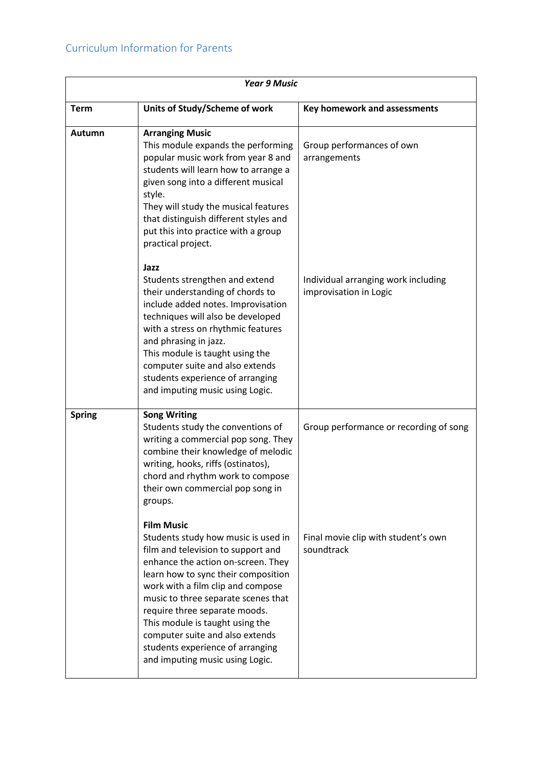| <b>Year 9 Music</b> |                                                                                                                                                                                                                                                                                                                                                                                                                                       |                                                               |
|---------------------|---------------------------------------------------------------------------------------------------------------------------------------------------------------------------------------------------------------------------------------------------------------------------------------------------------------------------------------------------------------------------------------------------------------------------------------|---------------------------------------------------------------|
| <b>Term</b>         | Units of Study/Scheme of work                                                                                                                                                                                                                                                                                                                                                                                                         | Key homework and assessments                                  |
| Autumn              | <b>Arranging Music</b><br>This module expands the performing<br>popular music work from year 8 and<br>students will learn how to arrange a<br>given song into a different musical<br>style.<br>They will study the musical features<br>that distinguish different styles and<br>put this into practice with a group<br>practical project.                                                                                             | Group performances of own<br>arrangements                     |
|                     | Jazz<br>Students strengthen and extend<br>their understanding of chords to<br>include added notes. Improvisation<br>techniques will also be developed<br>with a stress on rhythmic features<br>and phrasing in jazz.<br>This module is taught using the<br>computer suite and also extends<br>students experience of arranging<br>and imputing music using Logic.                                                                     | Individual arranging work including<br>improvisation in Logic |
| <b>Spring</b>       | <b>Song Writing</b><br>Students study the conventions of<br>writing a commercial pop song. They<br>combine their knowledge of melodic<br>writing, hooks, riffs (ostinatos),<br>chord and rhythm work to compose<br>their own commercial pop song in<br>groups.                                                                                                                                                                        | Group performance or recording of song                        |
|                     | <b>Film Music</b><br>Students study how music is used in<br>film and television to support and<br>enhance the action on-screen. They<br>learn how to sync their composition<br>work with a film clip and compose<br>music to three separate scenes that<br>require three separate moods.<br>This module is taught using the<br>computer suite and also extends<br>students experience of arranging<br>and imputing music using Logic. | Final movie clip with student's own<br>soundtrack             |